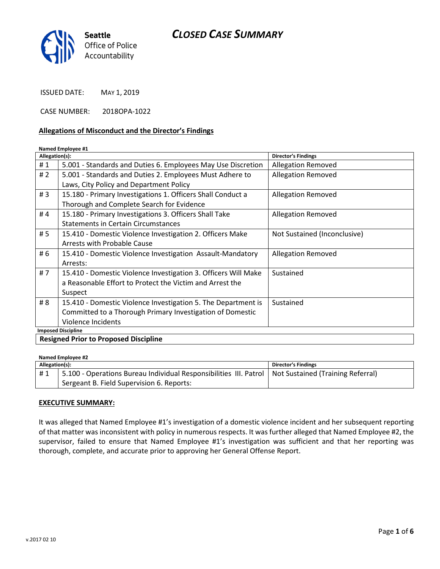# CLOSED CASE SUMMARY



ISSUED DATE: MAY 1, 2019

CASE NUMBER: 2018OPA-1022

#### Allegations of Misconduct and the Director's Findings

#### Named Employee #1

| Allegation(s):                                                  |                                                                | <b>Director's Findings</b>   |  |
|-----------------------------------------------------------------|----------------------------------------------------------------|------------------------------|--|
| #1                                                              | 5.001 - Standards and Duties 6. Employees May Use Discretion   | <b>Allegation Removed</b>    |  |
| #2                                                              | 5.001 - Standards and Duties 2. Employees Must Adhere to       | <b>Allegation Removed</b>    |  |
|                                                                 | Laws, City Policy and Department Policy                        |                              |  |
| #3                                                              | 15.180 - Primary Investigations 1. Officers Shall Conduct a    | <b>Allegation Removed</b>    |  |
|                                                                 | Thorough and Complete Search for Evidence                      |                              |  |
| #4                                                              | 15.180 - Primary Investigations 3. Officers Shall Take         | <b>Allegation Removed</b>    |  |
|                                                                 | <b>Statements in Certain Circumstances</b>                     |                              |  |
| # 5                                                             | 15.410 - Domestic Violence Investigation 2. Officers Make      | Not Sustained (Inconclusive) |  |
|                                                                 | Arrests with Probable Cause                                    |                              |  |
| # 6                                                             | 15.410 - Domestic Violence Investigation Assault-Mandatory     | <b>Allegation Removed</b>    |  |
|                                                                 | Arrests:                                                       |                              |  |
| #7                                                              | 15.410 - Domestic Violence Investigation 3. Officers Will Make | Sustained                    |  |
|                                                                 | a Reasonable Effort to Protect the Victim and Arrest the       |                              |  |
|                                                                 | Suspect                                                        |                              |  |
| # 8                                                             | 15.410 - Domestic Violence Investigation 5. The Department is  | Sustained                    |  |
|                                                                 | Committed to a Thorough Primary Investigation of Domestic      |                              |  |
|                                                                 | Violence Incidents                                             |                              |  |
| <b>Imposed Discipline</b><br>$\sim$ $\sim$ $\sim$ $\sim$ $\sim$ |                                                                |                              |  |

Resigned Prior to Proposed Discipline

| Named Employee #2 |                                                                                                       |                            |  |
|-------------------|-------------------------------------------------------------------------------------------------------|----------------------------|--|
| Allegation(s):    |                                                                                                       | <b>Director's Findings</b> |  |
| #1                | 5.100 - Operations Bureau Individual Responsibilities III. Patrol   Not Sustained (Training Referral) |                            |  |
|                   | Sergeant B. Field Supervision 6. Reports:                                                             |                            |  |

#### EXECUTIVE SUMMARY:

It was alleged that Named Employee #1's investigation of a domestic violence incident and her subsequent reporting of that matter was inconsistent with policy in numerous respects. It was further alleged that Named Employee #2, the supervisor, failed to ensure that Named Employee #1's investigation was sufficient and that her reporting was thorough, complete, and accurate prior to approving her General Offense Report.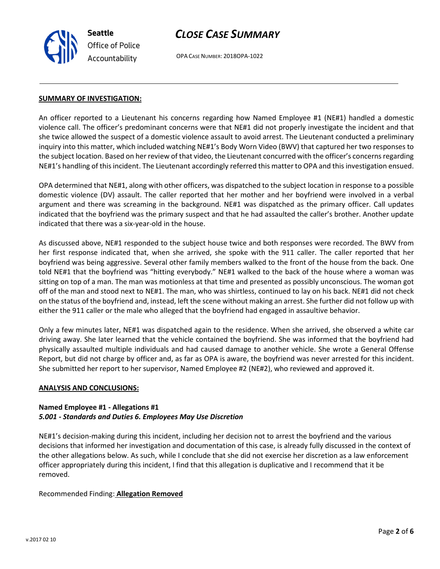

# CLOSE CASE SUMMARY

OPA CASE NUMBER: 2018OPA-1022

#### SUMMARY OF INVESTIGATION:

An officer reported to a Lieutenant his concerns regarding how Named Employee #1 (NE#1) handled a domestic violence call. The officer's predominant concerns were that NE#1 did not properly investigate the incident and that she twice allowed the suspect of a domestic violence assault to avoid arrest. The Lieutenant conducted a preliminary inquiry into this matter, which included watching NE#1's Body Worn Video (BWV) that captured her two responses to the subject location. Based on her review of that video, the Lieutenant concurred with the officer's concerns regarding NE#1's handling of this incident. The Lieutenant accordingly referred this matter to OPA and this investigation ensued.

OPA determined that NE#1, along with other officers, was dispatched to the subject location in response to a possible domestic violence (DV) assault. The caller reported that her mother and her boyfriend were involved in a verbal argument and there was screaming in the background. NE#1 was dispatched as the primary officer. Call updates indicated that the boyfriend was the primary suspect and that he had assaulted the caller's brother. Another update indicated that there was a six-year-old in the house.

As discussed above, NE#1 responded to the subject house twice and both responses were recorded. The BWV from her first response indicated that, when she arrived, she spoke with the 911 caller. The caller reported that her boyfriend was being aggressive. Several other family members walked to the front of the house from the back. One told NE#1 that the boyfriend was "hitting everybody." NE#1 walked to the back of the house where a woman was sitting on top of a man. The man was motionless at that time and presented as possibly unconscious. The woman got off of the man and stood next to NE#1. The man, who was shirtless, continued to lay on his back. NE#1 did not check on the status of the boyfriend and, instead, left the scene without making an arrest. She further did not follow up with either the 911 caller or the male who alleged that the boyfriend had engaged in assaultive behavior.

Only a few minutes later, NE#1 was dispatched again to the residence. When she arrived, she observed a white car driving away. She later learned that the vehicle contained the boyfriend. She was informed that the boyfriend had physically assaulted multiple individuals and had caused damage to another vehicle. She wrote a General Offense Report, but did not charge by officer and, as far as OPA is aware, the boyfriend was never arrested for this incident. She submitted her report to her supervisor, Named Employee #2 (NE#2), who reviewed and approved it.

#### ANALYSIS AND CONCLUSIONS:

# Named Employee #1 - Allegations #1 5.001 - Standards and Duties 6. Employees May Use Discretion

NE#1's decision-making during this incident, including her decision not to arrest the boyfriend and the various decisions that informed her investigation and documentation of this case, is already fully discussed in the context of the other allegations below. As such, while I conclude that she did not exercise her discretion as a law enforcement officer appropriately during this incident, I find that this allegation is duplicative and I recommend that it be removed.

# Recommended Finding: Allegation Removed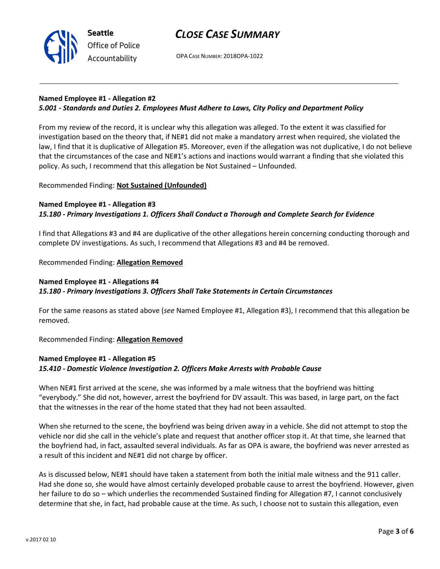



OPA CASE NUMBER: 2018OPA-1022

# Named Employee #1 - Allegation #2

### 5.001 - Standards and Duties 2. Employees Must Adhere to Laws, City Policy and Department Policy

From my review of the record, it is unclear why this allegation was alleged. To the extent it was classified for investigation based on the theory that, if NE#1 did not make a mandatory arrest when required, she violated the law, I find that it is duplicative of Allegation #5. Moreover, even if the allegation was not duplicative, I do not believe that the circumstances of the case and NE#1's actions and inactions would warrant a finding that she violated this policy. As such, I recommend that this allegation be Not Sustained – Unfounded.

#### Recommended Finding: Not Sustained (Unfounded)

#### Named Employee #1 - Allegation #3 15.180 - Primary Investigations 1. Officers Shall Conduct a Thorough and Complete Search for Evidence

I find that Allegations #3 and #4 are duplicative of the other allegations herein concerning conducting thorough and complete DV investigations. As such, I recommend that Allegations #3 and #4 be removed.

### Recommended Finding: Allegation Removed

### Named Employee #1 - Allegations #4 15.180 - Primary Investigations 3. Officers Shall Take Statements in Certain Circumstances

For the same reasons as stated above (see Named Employee #1, Allegation #3), I recommend that this allegation be removed.

#### Recommended Finding: Allegation Removed

### Named Employee #1 - Allegation #5 15.410 - Domestic Violence Investigation 2. Officers Make Arrests with Probable Cause

When NE#1 first arrived at the scene, she was informed by a male witness that the boyfriend was hitting "everybody." She did not, however, arrest the boyfriend for DV assault. This was based, in large part, on the fact that the witnesses in the rear of the home stated that they had not been assaulted.

When she returned to the scene, the boyfriend was being driven away in a vehicle. She did not attempt to stop the vehicle nor did she call in the vehicle's plate and request that another officer stop it. At that time, she learned that the boyfriend had, in fact, assaulted several individuals. As far as OPA is aware, the boyfriend was never arrested as a result of this incident and NE#1 did not charge by officer.

As is discussed below, NE#1 should have taken a statement from both the initial male witness and the 911 caller. Had she done so, she would have almost certainly developed probable cause to arrest the boyfriend. However, given her failure to do so – which underlies the recommended Sustained finding for Allegation #7, I cannot conclusively determine that she, in fact, had probable cause at the time. As such, I choose not to sustain this allegation, even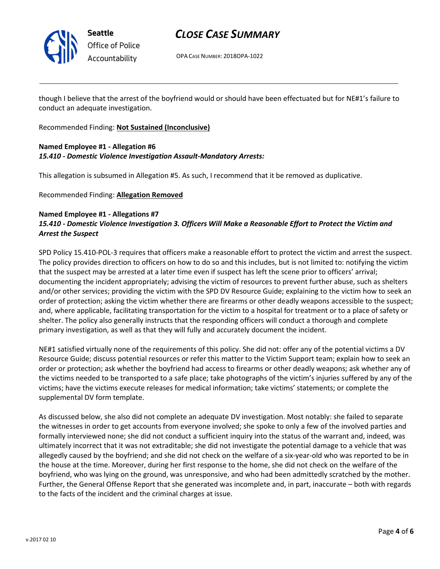

Seattle Office of Police Accountability

# CLOSE CASE SUMMARY

OPA CASE NUMBER: 2018OPA-1022

though I believe that the arrest of the boyfriend would or should have been effectuated but for NE#1's failure to conduct an adequate investigation.

Recommended Finding: Not Sustained (Inconclusive)

## Named Employee #1 - Allegation #6 15.410 - Domestic Violence Investigation Assault-Mandatory Arrests:

This allegation is subsumed in Allegation #5. As such, I recommend that it be removed as duplicative.

Recommended Finding: Allegation Removed

## Named Employee #1 - Allegations #7 15.410 - Domestic Violence Investigation 3. Officers Will Make a Reasonable Effort to Protect the Victim and Arrest the Suspect

SPD Policy 15.410-POL-3 requires that officers make a reasonable effort to protect the victim and arrest the suspect. The policy provides direction to officers on how to do so and this includes, but is not limited to: notifying the victim that the suspect may be arrested at a later time even if suspect has left the scene prior to officers' arrival; documenting the incident appropriately; advising the victim of resources to prevent further abuse, such as shelters and/or other services; providing the victim with the SPD DV Resource Guide; explaining to the victim how to seek an order of protection; asking the victim whether there are firearms or other deadly weapons accessible to the suspect; and, where applicable, facilitating transportation for the victim to a hospital for treatment or to a place of safety or shelter. The policy also generally instructs that the responding officers will conduct a thorough and complete primary investigation, as well as that they will fully and accurately document the incident.

NE#1 satisfied virtually none of the requirements of this policy. She did not: offer any of the potential victims a DV Resource Guide; discuss potential resources or refer this matter to the Victim Support team; explain how to seek an order or protection; ask whether the boyfriend had access to firearms or other deadly weapons; ask whether any of the victims needed to be transported to a safe place; take photographs of the victim's injuries suffered by any of the victims; have the victims execute releases for medical information; take victims' statements; or complete the supplemental DV form template.

As discussed below, she also did not complete an adequate DV investigation. Most notably: she failed to separate the witnesses in order to get accounts from everyone involved; she spoke to only a few of the involved parties and formally interviewed none; she did not conduct a sufficient inquiry into the status of the warrant and, indeed, was ultimately incorrect that it was not extraditable; she did not investigate the potential damage to a vehicle that was allegedly caused by the boyfriend; and she did not check on the welfare of a six-year-old who was reported to be in the house at the time. Moreover, during her first response to the home, she did not check on the welfare of the boyfriend, who was lying on the ground, was unresponsive, and who had been admittedly scratched by the mother. Further, the General Offense Report that she generated was incomplete and, in part, inaccurate – both with regards to the facts of the incident and the criminal charges at issue.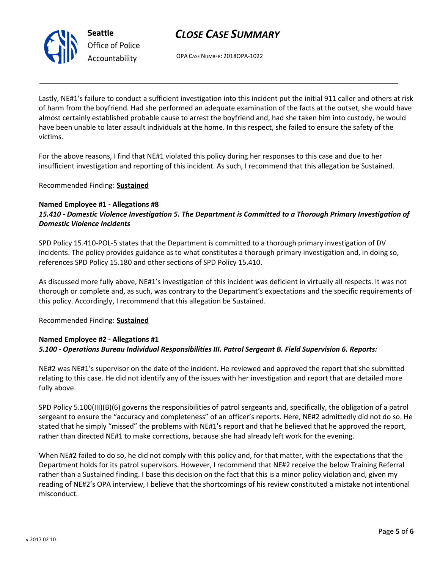

Seattle Office of Police Accountability

# CLOSE CASE SUMMARY

OPA CASE NUMBER: 2018OPA-1022

Lastly, NE#1's failure to conduct a sufficient investigation into this incident put the initial 911 caller and others at risk of harm from the boyfriend. Had she performed an adequate examination of the facts at the outset, she would have almost certainly established probable cause to arrest the boyfriend and, had she taken him into custody, he would have been unable to later assault individuals at the home. In this respect, she failed to ensure the safety of the victims.

For the above reasons, I find that NE#1 violated this policy during her responses to this case and due to her insufficient investigation and reporting of this incident. As such, I recommend that this allegation be Sustained.

Recommended Finding: Sustained

#### Named Employee #1 - Allegations #8 15.410 - Domestic Violence Investigation 5. The Department is Committed to a Thorough Primary Investigation of Domestic Violence Incidents

SPD Policy 15.410-POL-5 states that the Department is committed to a thorough primary investigation of DV incidents. The policy provides guidance as to what constitutes a thorough primary investigation and, in doing so, references SPD Policy 15.180 and other sections of SPD Policy 15.410.

As discussed more fully above, NE#1's investigation of this incident was deficient in virtually all respects. It was not thorough or complete and, as such, was contrary to the Department's expectations and the specific requirements of this policy. Accordingly, I recommend that this allegation be Sustained.

Recommended Finding: Sustained

# Named Employee #2 - Allegations #1 5.100 - Operations Bureau Individual Responsibilities III. Patrol Sergeant B. Field Supervision 6. Reports:

NE#2 was NE#1's supervisor on the date of the incident. He reviewed and approved the report that she submitted relating to this case. He did not identify any of the issues with her investigation and report that are detailed more fully above.

SPD Policy 5.100(III)(B)(6) governs the responsibilities of patrol sergeants and, specifically, the obligation of a patrol sergeant to ensure the "accuracy and completeness" of an officer's reports. Here, NE#2 admittedly did not do so. He stated that he simply "missed" the problems with NE#1's report and that he believed that he approved the report, rather than directed NE#1 to make corrections, because she had already left work for the evening.

When NE#2 failed to do so, he did not comply with this policy and, for that matter, with the expectations that the Department holds for its patrol supervisors. However, I recommend that NE#2 receive the below Training Referral rather than a Sustained finding. I base this decision on the fact that this is a minor policy violation and, given my reading of NE#2's OPA interview, I believe that the shortcomings of his review constituted a mistake not intentional misconduct.